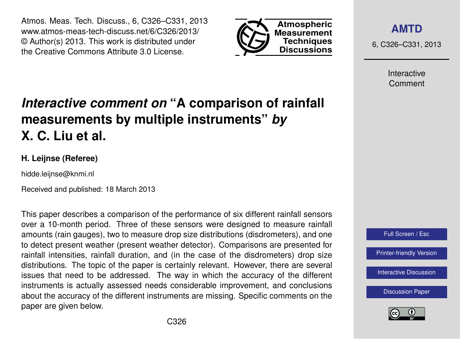Atmos. Meas. Tech. Discuss., 6, C326–C331, 2013 www.atmos-meas-tech-discuss.net/6/C326/2013/ © Author(s) 2013. This work is distributed under the Creative Commons Attribute 3.0 License.



**[AMTD](http://www.atmos-meas-tech-discuss.net)**

6, C326–C331, 2013

Interactive Comment

## *Interactive comment on* **"A comparison of rainfall measurements by multiple instruments"** *by* **X. C. Liu et al.**

## **H. Leijnse (Referee)**

hidde.leijnse@knmi.nl

Received and published: 18 March 2013

This paper describes a comparison of the performance of six different rainfall sensors over a 10-month period. Three of these sensors were designed to measure rainfall amounts (rain gauges), two to measure drop size distributions (disdrometers), and one to detect present weather (present weather detector). Comparisons are presented for rainfall intensities, rainfall duration, and (in the case of the disdrometers) drop size distributions. The topic of the paper is certainly relevant. However, there are several issues that need to be addressed. The way in which the accuracy of the different instruments is actually assessed needs considerable improvement, and conclusions about the accuracy of the different instruments are missing. Specific comments on the paper are given below.



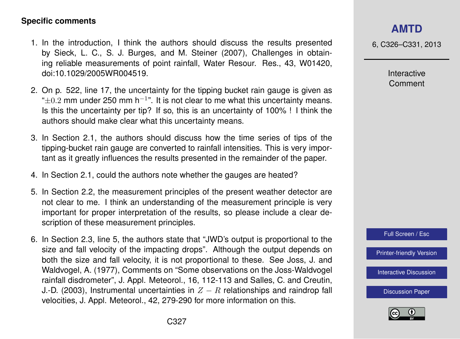## **Specific comments**

- 1. In the introduction, I think the authors should discuss the results presented by Sieck, L. C., S. J. Burges, and M. Steiner (2007), Challenges in obtaining reliable measurements of point rainfall, Water Resour. Res., 43, W01420, doi:10.1029/2005WR004519.
- 2. On p. 522, line 17, the uncertainty for the tipping bucket rain gauge is given as " $\pm$ 0.2 mm under 250 mm h<sup>-1</sup>". It is not clear to me what this uncertainty means. Is this the uncertainty per tip? If so, this is an uncertainty of 100% ! I think the authors should make clear what this uncertainty means.
- 3. In Section 2.1, the authors should discuss how the time series of tips of the tipping-bucket rain gauge are converted to rainfall intensities. This is very important as it greatly influences the results presented in the remainder of the paper.
- 4. In Section 2.1, could the authors note whether the gauges are heated?
- 5. In Section 2.2, the measurement principles of the present weather detector are not clear to me. I think an understanding of the measurement principle is very important for proper interpretation of the results, so please include a clear description of these measurement principles.
- 6. In Section 2.3, line 5, the authors state that "JWD's output is proportional to the size and fall velocity of the impacting drops". Although the output depends on both the size and fall velocity, it is not proportional to these. See Joss, J. and Waldvogel, A. (1977), Comments on "Some observations on the Joss-Waldvogel rainfall disdrometer", J. Appl. Meteorol., 16, 112-113 and Salles, C. and Creutin, J.-D. (2003), Instrumental uncertainties in  $Z - R$  relationships and raindrop fall velocities, J. Appl. Meteorol., 42, 279-290 for more information on this.



6, C326–C331, 2013

Interactive Comment



[Printer-friendly Version](http://www.atmos-meas-tech-discuss.net/6/C326/2013/amtd-6-C326-2013-print.pdf)

[Interactive Discussion](http://www.atmos-meas-tech-discuss.net/6/519/2013/amtd-6-519-2013-discussion.html)

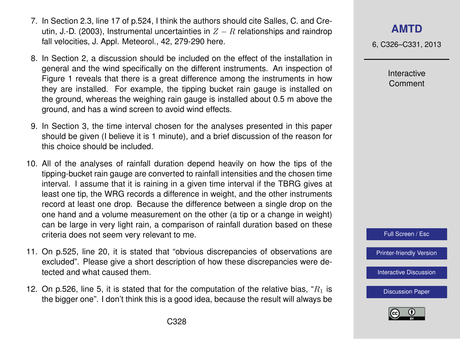- 7. In Section 2.3, line 17 of p.524, I think the authors should cite Salles, C. and Creutin, J.-D. (2003), Instrumental uncertainties in  $Z - R$  relationships and raindrop fall velocities, J. Appl. Meteorol., 42, 279-290 here.
- 8. In Section 2, a discussion should be included on the effect of the installation in general and the wind specifically on the different instruments. An inspection of Figure 1 reveals that there is a great difference among the instruments in how they are installed. For example, the tipping bucket rain gauge is installed on the ground, whereas the weighing rain gauge is installed about 0.5 m above the ground, and has a wind screen to avoid wind effects.
- 9. In Section 3, the time interval chosen for the analyses presented in this paper should be given (I believe it is 1 minute), and a brief discussion of the reason for this choice should be included.
- 10. All of the analyses of rainfall duration depend heavily on how the tips of the tipping-bucket rain gauge are converted to rainfall intensities and the chosen time interval. I assume that it is raining in a given time interval if the TBRG gives at least one tip, the WRG records a difference in weight, and the other instruments record at least one drop. Because the difference between a single drop on the one hand and a volume measurement on the other (a tip or a change in weight) can be large in very light rain, a comparison of rainfall duration based on these criteria does not seem very relevant to me.
- 11. On p.525, line 20, it is stated that "obvious discrepancies of observations are excluded". Please give a short description of how these discrepancies were detected and what caused them.
- 12. On p.526, line 5, it is stated that for the computation of the relative bias, " $R_1$  is the bigger one". I don't think this is a good idea, because the result will always be

**[AMTD](http://www.atmos-meas-tech-discuss.net)**

6, C326–C331, 2013

Interactive Comment



[Printer-friendly Version](http://www.atmos-meas-tech-discuss.net/6/C326/2013/amtd-6-C326-2013-print.pdf)

[Interactive Discussion](http://www.atmos-meas-tech-discuss.net/6/519/2013/amtd-6-519-2013-discussion.html)

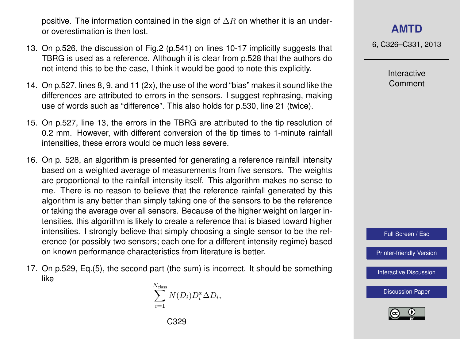positive. The information contained in the sign of  $\Delta R$  on whether it is an underor overestimation is then lost.

- 13. On p.526, the discussion of Fig.2 (p.541) on lines 10-17 implicitly suggests that TBRG is used as a reference. Although it is clear from p.528 that the authors do not intend this to be the case, I think it would be good to note this explicitly.
- 14. On p.527, lines 8, 9, and 11 (2x), the use of the word "bias" makes it sound like the differences are attributed to errors in the sensors. I suggest rephrasing, making use of words such as "difference". This also holds for p.530, line 21 (twice).
- 15. On p.527, line 13, the errors in the TBRG are attributed to the tip resolution of 0.2 mm. However, with different conversion of the tip times to 1-minute rainfall intensities, these errors would be much less severe.
- 16. On p. 528, an algorithm is presented for generating a reference rainfall intensity based on a weighted average of measurements from five sensors. The weights are proportional to the rainfall intensity itself. This algorithm makes no sense to me. There is no reason to believe that the reference rainfall generated by this algorithm is any better than simply taking one of the sensors to be the reference or taking the average over all sensors. Because of the higher weight on larger intensities, this algorithm is likely to create a reference that is biased toward higher intensities. I strongly believe that simply choosing a single sensor to be the reference (or possibly two sensors; each one for a different intensity regime) based on known performance characteristics from literature is better.
- 17. On p.529, Eq.(5), the second part (the sum) is incorrect. It should be something like

 $\sum_{ }^{N_{ \rm class}}$  $i=1$  $N(D_i)D_i^x\Delta D_i,$ 

6, C326–C331, 2013

Interactive Comment



[Printer-friendly Version](http://www.atmos-meas-tech-discuss.net/6/C326/2013/amtd-6-C326-2013-print.pdf)

[Interactive Discussion](http://www.atmos-meas-tech-discuss.net/6/519/2013/amtd-6-519-2013-discussion.html)

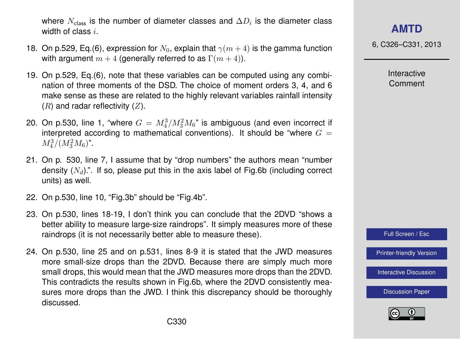where  $N_{\rm class}$  is the number of diameter classes and  $\Delta D_i$  is the diameter class width of class i.

- 18. On p.529, Eq.(6), expression for  $N_0$ , explain that  $\gamma(m+4)$  is the gamma function with argument  $m + 4$  (generally referred to as  $\Gamma(m + 4)$ ).
- 19. On p.529, Eq.(6), note that these variables can be computed using any combination of three moments of the DSD. The choice of moment orders 3, 4, and 6 make sense as these are related to the highly relevant variables rainfall intensity  $(R)$  and radar reflectivity  $(Z)$ .
- 20. On p.530, line 1, "where  $G=\,M_4^3/M_3^2M_6$ " is ambiguous (and even incorrect if interpreted according to mathematical conventions). It should be "where  $G =$  $M_4^3/(M_3^2M_6)$ ".
- 21. On p. 530, line 7, I assume that by "drop numbers" the authors mean "number density  $(N_d)$ .". If so, please put this in the axis label of Fig.6b (including correct units) as well.
- 22. On p.530, line 10, "Fig.3b" should be "Fig.4b".
- 23. On p.530, lines 18-19, I don't think you can conclude that the 2DVD "shows a better ability to measure large-size raindrops". It simply measures more of these raindrops (it is not necessarily better able to measure these).
- 24. On p.530, line 25 and on p.531, lines 8-9 it is stated that the JWD measures more small-size drops than the 2DVD. Because there are simply much more small drops, this would mean that the JWD measures more drops than the 2DVD. This contradicts the results shown in Fig.6b, where the 2DVD consistently measures more drops than the JWD. I think this discrepancy should be thoroughly discussed.

6, C326–C331, 2013

Interactive Comment



[Printer-friendly Version](http://www.atmos-meas-tech-discuss.net/6/C326/2013/amtd-6-C326-2013-print.pdf)

[Interactive Discussion](http://www.atmos-meas-tech-discuss.net/6/519/2013/amtd-6-519-2013-discussion.html)